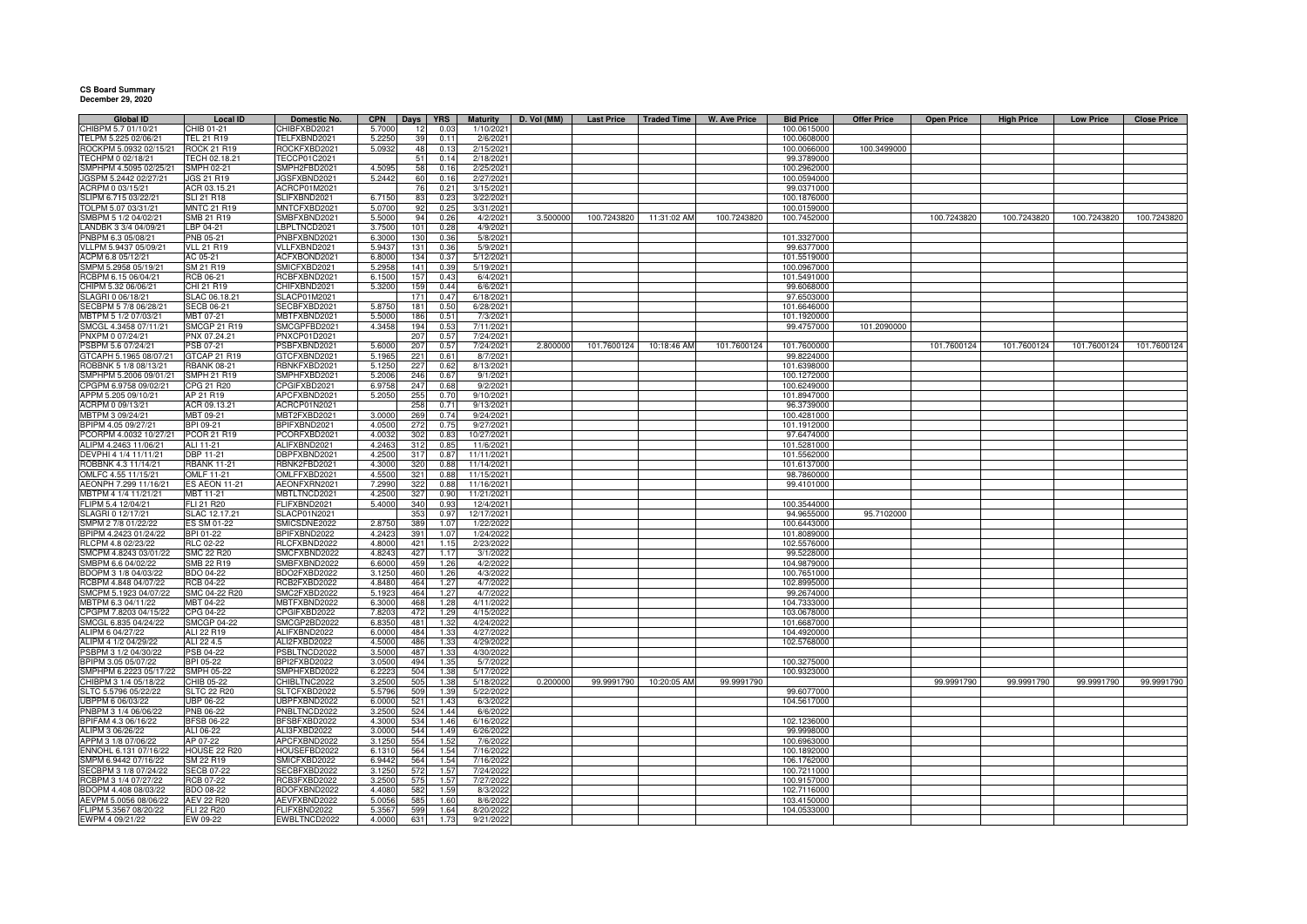## **CS Board Summary December 29, 2020**

| <b>Global ID</b>       | <b>Local ID</b>      | Domestic No.        | <b>CPN</b> | Days            | <b>YRS</b> | Maturity   | D. Vol (MM) | <b>Last Price</b> | <b>Traded Time</b>     | <b>W. Ave Price</b> | <b>Bid Price</b> | <b>Offer Price</b> | <b>Open Price</b> | <b>High Price</b> | <b>Low Price</b> | <b>Close Price</b> |
|------------------------|----------------------|---------------------|------------|-----------------|------------|------------|-------------|-------------------|------------------------|---------------------|------------------|--------------------|-------------------|-------------------|------------------|--------------------|
| CHIBPM 5.7 01/10/21    | CHIB 01-21           | <b>CHIBFXBD2021</b> | 5.7000     | 12              | 0.03       | 1/10/2021  |             |                   |                        |                     | 100.0615000      |                    |                   |                   |                  |                    |
| TELPM 5.225 02/06/21   | TEL 21 R19           | TELFXBND2021        | 5.2250     | 39              | 0.11       | 2/6/2021   |             |                   |                        |                     | 100.0608000      |                    |                   |                   |                  |                    |
| ROCKPM 5.0932 02/15/21 | <b>ROCK 21 R19</b>   | ROCKFXBD202         | 5.0932     | 48              | 0.13       | 2/15/2021  |             |                   |                        |                     | 100.0066000      | 100.3499000        |                   |                   |                  |                    |
| TECHPM 0 02/18/21      | TECH 02.18.21        | TECCP01C2021        |            | 51              | 0.1        | 2/18/2021  |             |                   |                        |                     | 99.3789000       |                    |                   |                   |                  |                    |
| SMPHPM 4.5095 02/25/21 | <b>SMPH 02-21</b>    |                     | 4.509      | 58              |            |            |             |                   |                        |                     | 100.2962000      |                    |                   |                   |                  |                    |
|                        |                      | SMPH2FBD2021        |            |                 | 0.16       | 2/25/2021  |             |                   |                        |                     |                  |                    |                   |                   |                  |                    |
| JGSPM 5.2442 02/27/21  | JGS 21 R19           | <b>JGSFXBND2021</b> | 5.2442     | 60              | 0.16       | 2/27/2021  |             |                   |                        |                     | 100.0594000      |                    |                   |                   |                  |                    |
| ACRPM 0 03/15/21       | ACR 03.15.21         | ACRCP01M2021        |            | 76              | 0.21       | 3/15/2021  |             |                   |                        |                     | 99.0371000       |                    |                   |                   |                  |                    |
| SLIPM 6.715 03/22/21   | <b>SLI 21 R18</b>    | SLIFXBND2021        | 6.7150     | 83              | 0.23       | 3/22/2021  |             |                   |                        |                     | 100.1876000      |                    |                   |                   |                  |                    |
| TOLPM 5.07 03/31/21    | <b>MNTC 21 R19</b>   | MNTCFXBD2021        | 5.070      | q,              | 0.25       | 3/31/2021  |             |                   |                        |                     | 100.0159000      |                    |                   |                   |                  |                    |
| SMBPM 5 1/2 04/02/21   | SMB 21 R19           | SMBFXBND2021        | 5.5000     | 94              | 0.26       | 4/2/2021   | 3.500000    | 100.7243820       | 11:31:02 AM            | 100.7243820         | 100.7452000      |                    | 100.7243820       | 100.7243820       | 100.7243820      | 100.7243820        |
| LANDBK 3 3/4 04/09/21  | LBP 04-21            | BPLTNCD2021         | 3.7500     | 101             | 0.28       | 4/9/2021   |             |                   |                        |                     |                  |                    |                   |                   |                  |                    |
| PNBPM 6.3 05/08/21     | <b>PNB 05-21</b>     | PNBFXBND2021        |            | 130             | 0.36       | 5/8/2021   |             |                   |                        |                     | 101.3327000      |                    |                   |                   |                  |                    |
|                        |                      |                     | 6.300      |                 |            |            |             |                   |                        |                     |                  |                    |                   |                   |                  |                    |
| VLLPM 5.9437 05/09/21  | <b>VLL 21 R19</b>    | <b>/LLFXBND2021</b> | 5.943      | 131             | 0.36       | 5/9/2021   |             |                   |                        |                     | 99.6377000       |                    |                   |                   |                  |                    |
| ACPM 6.8 05/12/21      | AC 05-21             | ACFXBOND2021        | 6.800      | 134             | 0.37       | 5/12/2021  |             |                   |                        |                     | 101.5519000      |                    |                   |                   |                  |                    |
| SMPM 5.2958 05/19/21   | SM 21 R19            | SMICFXBD2021        | 5.2958     | 141             | 0.39       | 5/19/2021  |             |                   |                        |                     | 100.0967000      |                    |                   |                   |                  |                    |
| RCBPM 6.15 06/04/21    | RCB 06-21            | RCBFXBND2021        | 6.150      | 157             | 0.43       | 6/4/2021   |             |                   |                        |                     | 101.5491000      |                    |                   |                   |                  |                    |
| CHIPM 5.32 06/06/21    | CHI 21 R19           | CHIFXBND2021        | 5.320      | 15              | 0.44       | 6/6/2021   |             |                   |                        |                     | 99.6068000       |                    |                   |                   |                  |                    |
| SLAGRI 0 06/18/21      | SLAC 06.18.2         | SLACP01M2021        |            | 17'             | 0.47       | 6/18/2021  |             |                   |                        |                     | 97.6503000       |                    |                   |                   |                  |                    |
| SECBPM 5 7/8 06/28/21  | <b>SECB 06-21</b>    | SECBFXBD2021        | 5.875      | 18 <sup>2</sup> | 0.50       | 6/28/2021  |             |                   |                        |                     | 101.6646000      |                    |                   |                   |                  |                    |
|                        |                      |                     |            |                 |            |            |             |                   |                        |                     |                  |                    |                   |                   |                  |                    |
| MBTPM 5 1/2 07/03/21   | MBT 07-21            | MBTFXBND2021        | 5.500      | 186             | 0.51       | 7/3/2021   |             |                   |                        |                     | 101.1920000      |                    |                   |                   |                  |                    |
| SMCGL 4.3458 07/11/21  | <b>SMCGP 21 R19</b>  | SMCGPFBD2021        | 4.3458     | 194             | 0.53       | 7/11/2021  |             |                   |                        |                     | 99.4757000       | 101.2090000        |                   |                   |                  |                    |
| PNXPM 0 07/24/21       | PNX 07.24.21         | PNXCP01D2021        |            | 207             | 0.57       | 7/24/2021  |             |                   |                        |                     |                  |                    |                   |                   |                  |                    |
| PSBPM 5.6 07/24/21     | PSB 07-21            | SBFXBND2021         | 5.6000     | 207             | 0.57       | 7/24/2021  | 2.800000    | 101.7600124       | 10:18:46 AM            | 101.7600124         | 101.7600000      |                    | 101.7600124       | 101.7600124       | 101.7600124      | 101.7600124        |
| GTCAPH 5.1965 08/07/21 | GTCAP 21 R19         | GTCFXBND2021        | 5.196      | 221             | 0.61       | 8/7/2021   |             |                   |                        |                     | 99.8224000       |                    |                   |                   |                  |                    |
| ROBBNK 5 1/8 08/13/21  | <b>RBANK 08-21</b>   | RBNKFXBD2021        | 5.1250     | 227             | 0.62       | 8/13/2021  |             |                   |                        |                     | 101.6398000      |                    |                   |                   |                  |                    |
| SMPHPM 5.2006 09/01/21 |                      |                     |            |                 |            |            |             |                   |                        |                     |                  |                    |                   |                   |                  |                    |
|                        | <b>SMPH 21 R19</b>   | SMPHFXBD2021        | 5.2006     | 246             | 0.67       | 9/1/2021   |             |                   |                        |                     | 100.1272000      |                    |                   |                   |                  |                    |
| CPGPM 6.9758 09/02/21  | CPG 21 R20           | CPGIFXBD2021        | 6.9758     | 247             | 0.68       | 9/2/2021   |             |                   |                        |                     | 100.6249000      |                    |                   |                   |                  |                    |
| APPM 5.205 09/10/21    | AP 21 R19            | APCFXBND2021        | 5.205      | 255             | 0.70       | 9/10/2021  |             |                   |                        |                     | 101.8947000      |                    |                   |                   |                  |                    |
| ACRPM 0 09/13/21       | ACR 09.13.21         | ACRCP01N2021        |            | 258             | 0.71       | 9/13/2021  |             |                   |                        |                     | 96.3739000       |                    |                   |                   |                  |                    |
| MBTPM 3 09/24/21       | MBT 09-21            | MBT2FXBD2021        | 3.000      | 269             | 0.74       | 9/24/2021  |             |                   |                        |                     | 100.4281000      |                    |                   |                   |                  |                    |
| BPIPM 4.05 09/27/21    | BPI 09-21            | BPIFXBND2021        | 4.050      | 272             | 0.75       | 9/27/2021  |             |                   |                        |                     | 101.1912000      |                    |                   |                   |                  |                    |
| PCORPM 4.0032 10/27/21 | PCOR 21 R19          | PCORFXBD2021        | 4.0032     | 302             | 0.83       | 10/27/2021 |             |                   |                        |                     | 97.6474000       |                    |                   |                   |                  |                    |
|                        |                      |                     |            |                 |            |            |             |                   |                        |                     |                  |                    |                   |                   |                  |                    |
| ALIPM 4.2463 11/06/21  | ALI 11-21            | ALIFXBND2021        | 4.246      | 312             | 0.85       | 11/6/2021  |             |                   |                        |                     | 101.5281000      |                    |                   |                   |                  |                    |
| DEVPHI 4 1/4 11/11/21  | DBP 11-21            | DBPFXBND2021        | 4.250      | 317             | 0.87       | 11/11/2021 |             |                   |                        |                     | 101.5562000      |                    |                   |                   |                  |                    |
| ROBBNK 4.3 11/14/21    | <b>RBANK 11-21</b>   | RBNK2FBD2021        | 4.300      | 320             | 0.88       | 11/14/2021 |             |                   |                        |                     | 101.6137000      |                    |                   |                   |                  |                    |
| OMLFC 4.55 11/15/21    | <b>OMLF 11-21</b>    | OMLFFXBD2021        | 4.550      | 321             | 0.88       | 11/15/2021 |             |                   |                        |                     | 98.7860000       |                    |                   |                   |                  |                    |
| AEONPH 7.299 11/16/21  | <b>ES AEON 11-21</b> | AEONFXRN2021        | 7.2990     | 322             | 0.88       | 11/16/2021 |             |                   |                        |                     | 99.4101000       |                    |                   |                   |                  |                    |
| MBTPM 4 1/4 11/21/21   | MBT 11-21            | MBTLTNCD2021        | 4.250      | 327             | 0.90       | 11/21/2021 |             |                   |                        |                     |                  |                    |                   |                   |                  |                    |
| FLIPM 5.4 12/04/21     | FLI 21 R20           | FLIFXBND2021        | 5.4000     | 340             | 0.93       | 12/4/2021  |             |                   |                        |                     | 100.3544000      |                    |                   |                   |                  |                    |
|                        |                      |                     |            |                 |            |            |             |                   |                        |                     |                  |                    |                   |                   |                  |                    |
| SLAGRI 0 12/17/21      | SLAC 12.17.21        | <b>SLACP01N2021</b> |            | 35 <sup>°</sup> | 0.97       | 12/17/2021 |             |                   |                        |                     | 94.9655000       | 95.7102000         |                   |                   |                  |                    |
| SMPM 2 7/8 01/22/22    | ES SM 01-22          | SMICSDNE2022        | 2.875      | 389             | 1.07       | 1/22/2022  |             |                   |                        |                     | 100.6443000      |                    |                   |                   |                  |                    |
| BPIPM 4.2423 01/24/22  | BPI 01-22            | BPIFXBND2022        | 4.242      | 391             | 1.07       | 1/24/2022  |             |                   |                        |                     | 101.8089000      |                    |                   |                   |                  |                    |
| RLCPM 4.8 02/23/22     | <b>RLC 02-22</b>     | RLCFXBND2022        | 4.8000     | 421             | 1.15       | 2/23/2022  |             |                   |                        |                     | 102.5576000      |                    |                   |                   |                  |                    |
| SMCPM 4.8243 03/01/22  | <b>SMC 22 R20</b>    | SMCFXBND2022        | 4.824      | 427             | 1.17       | 3/1/2022   |             |                   |                        |                     | 99.5228000       |                    |                   |                   |                  |                    |
| SMBPM 6.6 04/02/22     | SMB 22 R19           | SMBFXBND2022        | 6.600      | 459             | 1.26       | 4/2/2022   |             |                   |                        |                     | 104.9879000      |                    |                   |                   |                  |                    |
| BDOPM 3 1/8 04/03/22   | BDO 04-22            | BDO2FXBD2022        | 3.1250     | 460             | 1.26       | 4/3/2022   |             |                   |                        |                     | 100.7651000      |                    |                   |                   |                  |                    |
| RCBPM 4.848 04/07/22   |                      | RCB2FXBD2022        | 4.848      | 464             | 1.27       | 4/7/2022   |             |                   |                        |                     |                  |                    |                   |                   |                  |                    |
|                        | RCB 04-22            |                     |            |                 |            |            |             |                   |                        |                     | 102.8995000      |                    |                   |                   |                  |                    |
| SMCPM 5.1923 04/07/22  | SMC 04-22 R20        | SMC2FXBD2022        | 5.192      | 464             | 1.27       | 4/7/2022   |             |                   |                        |                     | 99.2674000       |                    |                   |                   |                  |                    |
| MBTPM 6.3 04/11/22     | MBT 04-22            | MBTFXBND2022        | 6.300      | 468             | 1.28       | 4/11/2022  |             |                   |                        |                     | 104.7333000      |                    |                   |                   |                  |                    |
| CPGPM 7.8203 04/15/22  | CPG 04-22            | CPGIFXBD2022        | 7.8203     | 472             | 1.29       | 4/15/2022  |             |                   |                        |                     | 103.0678000      |                    |                   |                   |                  |                    |
| SMCGL 6.835 04/24/22   | <b>SMCGP 04-22</b>   | SMCGP2BD2022        | 6.835      | 481             | 1.32       | 4/24/2022  |             |                   |                        |                     | 101.6687000      |                    |                   |                   |                  |                    |
| ALIPM 6 04/27/22       | ALI 22 R19           | ALIFXBND2022        | 6.000      | 484             | 1.33       | 4/27/2022  |             |                   |                        |                     | 104.4920000      |                    |                   |                   |                  |                    |
| ALIPM 4 1/2 04/29/22   | ALI 22 4.5           | ALI2FXBD2022        | 4.500      | 486             | 1.33       | 4/29/2022  |             |                   |                        |                     | 102.5768000      |                    |                   |                   |                  |                    |
| PSBPM 3 1/2 04/30/22   | PSB 04-22            | PSBLTNCD2022        | 3.500      | 487             | 1.33       | 4/30/2022  |             |                   |                        |                     |                  |                    |                   |                   |                  |                    |
|                        |                      |                     |            |                 |            |            |             |                   |                        |                     |                  |                    |                   |                   |                  |                    |
| BPIPM 3.05 05/07/22    | 3PI 05-22            | BPI2FXBD2022        | 3.0500     | 494             | 1.35       | 5/7/2022   |             |                   |                        |                     | 100.3275000      |                    |                   |                   |                  |                    |
| SMPHPM 6.2223 05/17/22 | <b>SMPH 05-22</b>    | SMPHFXBD2022        | 6.2223     | 504             | 1.38       | 5/17/2022  |             |                   |                        |                     | 100.9323000      |                    |                   |                   |                  |                    |
| CHIBPM 3 1/4 05/18/22  | CHIB 05-22           | HIBLTNC2022         | 3.250      | 505             | 1.38       | 5/18/2022  | 0.200000    |                   | 99.9991790 10:20:05 AM | 99.9991790          |                  |                    | 99.9991790        | 99.9991790        | 99.9991790       | 99.9991790         |
| SLTC 5.5796 05/22/22   | <b>SLTC 22 R20</b>   | <b>ILTCFXBD2022</b> | 5.5796     | 509             | 1.39       | 5/22/2022  |             |                   |                        |                     | 99.6077000       |                    |                   |                   |                  |                    |
| UBPPM 6 06/03/22       | UBP 06-22            | JBPFXBND2022        | 6,000      | 521             | 1.43       | 6/3/2022   |             |                   |                        |                     | 104.5617000      |                    |                   |                   |                  |                    |
| PNBPM 3 1/4 06/06/22   | PNB 06-22            | PNBLTNCD2022        | 3.250      | 524             | 1.44       | 6/6/2022   |             |                   |                        |                     |                  |                    |                   |                   |                  |                    |
| BPIFAM 4.3 06/16/22    | <b>BFSB 06-22</b>    | BFSBFXBD2022        | 4.3000     | 534             | 1.46       | 6/16/2022  |             |                   |                        |                     | 102.1236000      |                    |                   |                   |                  |                    |
|                        |                      |                     |            |                 |            |            |             |                   |                        |                     |                  |                    |                   |                   |                  |                    |
| ALIPM 3 06/26/22       | ALI 06-22            | ALI3FXBD2022        | 3.000      | 544             | 1.49       | 6/26/2022  |             |                   |                        |                     | 99.9998000       |                    |                   |                   |                  |                    |
| APPM 3 1/8 07/06/22    | AP 07-22             | APCFXBND2022        | 3.125      | 554             | 1.52       | 7/6/2022   |             |                   |                        |                     | 100.6963000      |                    |                   |                   |                  |                    |
| ENNOHL 6.131 07/16/22  | HOUSE 22 R20         | HOUSEFBD2022        | 6.131      | 564             | 1.54       | 7/16/2022  |             |                   |                        |                     | 100.1892000      |                    |                   |                   |                  |                    |
| SMPM 6.9442 07/16/22   | SM 22 R19            | SMICFXBD2022        | 6.944      | 564             | 1.54       | 7/16/2022  |             |                   |                        |                     | 106.1762000      |                    |                   |                   |                  |                    |
| SECBPM 3 1/8 07/24/22  | <b>SECB 07-22</b>    | SECBFXBD2022        | 3.125      | 572             | 1.57       | 7/24/2022  |             |                   |                        |                     | 100.7211000      |                    |                   |                   |                  |                    |
| RCBPM 3 1/4 07/27/22   | <b>RCB 07-22</b>     | RCB3FXBD2022        | 3.2500     | 575             | 1.57       | 7/27/2022  |             |                   |                        |                     | 100.9157000      |                    |                   |                   |                  |                    |
| BDOPM 4.408 08/03/22   | <b>BDO 08-22</b>     | BDOFXBND2022        | 4.408      | 582             | 1.59       | 8/3/2022   |             |                   |                        |                     | 102.7116000      |                    |                   |                   |                  |                    |
|                        |                      |                     |            |                 |            |            |             |                   |                        |                     |                  |                    |                   |                   |                  |                    |
| AEVPM 5.0056 08/06/22  | AEV 22 R20           | AEVFXBND2022        | 5.0056     | 585             | 1.60       | 8/6/2022   |             |                   |                        |                     | 103.4150000      |                    |                   |                   |                  |                    |
| FLIPM 5.3567 08/20/22  | FLI 22 R20           | FLIFXBND2022        | 5.3567     | 599             | 1.64       | 8/20/2022  |             |                   |                        |                     | 104.0533000      |                    |                   |                   |                  |                    |
| EWPM 4 09/21/22        | EW 09-22             | EWBLTNCD2022        | 4.0000     | 631             |            | 9/21/2022  |             |                   |                        |                     |                  |                    |                   |                   |                  |                    |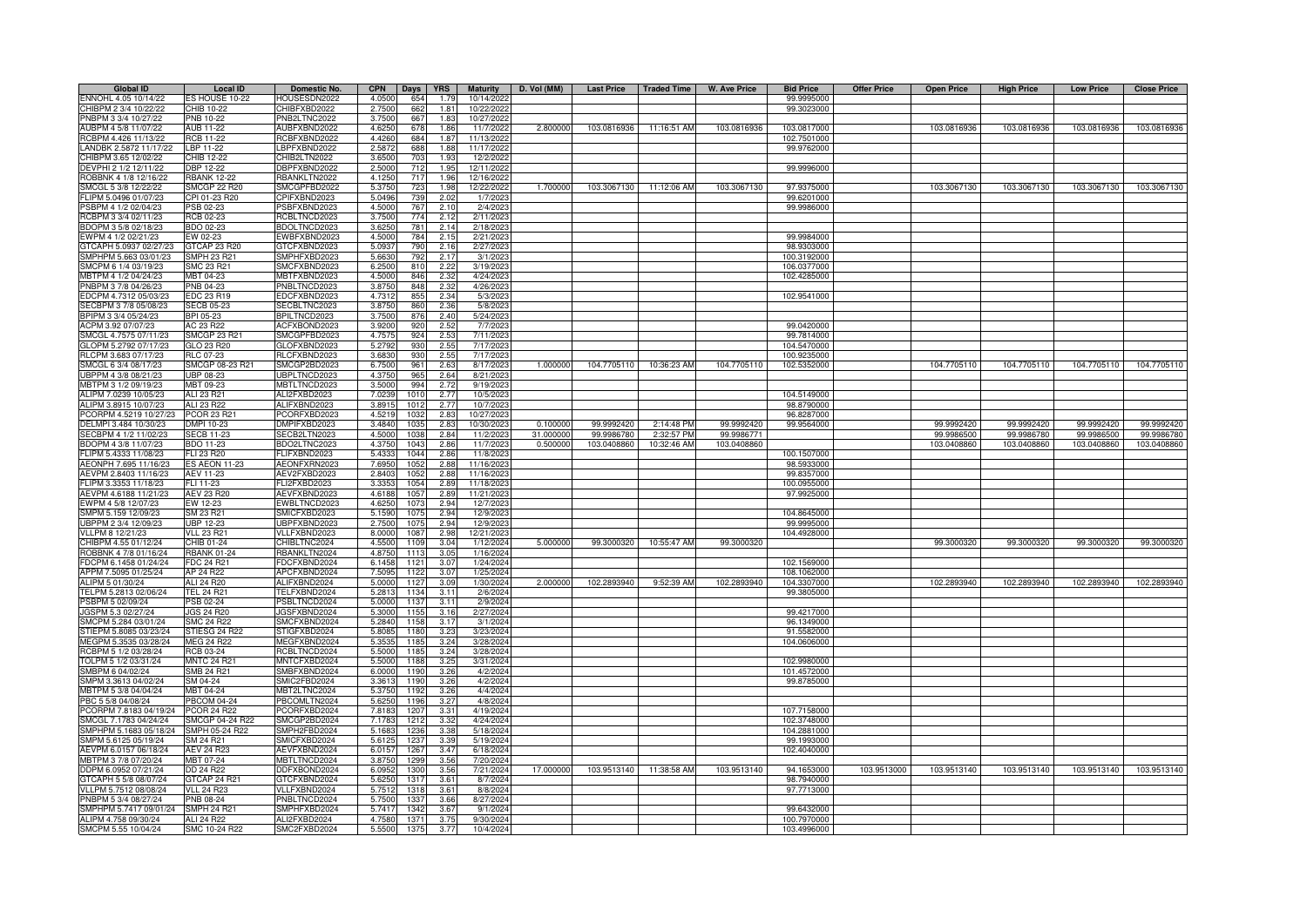| <b>Global ID</b>       | <b>Local ID</b>                | Domestic No.        | <b>CPN</b> | Days | <b>YRS</b> | <b>Maturity</b> | D. Vol (MM) | <b>Last Price</b> | <b>Traded Time</b>      | <b>W. Ave Price</b> | <b>Bid Price</b> | <b>Offer Price</b> | <b>Open Price</b> | <b>High Price</b> | <b>Low Price</b> | <b>Close Price</b> |
|------------------------|--------------------------------|---------------------|------------|------|------------|-----------------|-------------|-------------------|-------------------------|---------------------|------------------|--------------------|-------------------|-------------------|------------------|--------------------|
| ENNOHL 4.05 10/14/22   | ES HOUSE 10-22                 | HOUSESDN2022        | 4.0500     | 654  | 1.79       | 10/14/2022      |             |                   |                         |                     | 99.9995000       |                    |                   |                   |                  |                    |
| CHIBPM 2 3/4 10/22/22  | CHIB 10-22                     | CHIBFXBD2022        | 2.7500     | 662  | 1.81       | 10/22/2022      |             |                   |                         |                     | 99.3023000       |                    |                   |                   |                  |                    |
| PNBPM 3 3/4 10/27/22   | PNB 10-22                      | PNB2LTNC2022        | 3.7500     | 667  | 1.83       | 10/27/202       |             |                   |                         |                     |                  |                    |                   |                   |                  |                    |
| AUBPM 4 5/8 11/07/22   | AUB 11-22                      | AUBFXBND2022        | 4.6250     | 678  | 1.86       | 11/7/2022       | 2.800000    | 103.0816936       | 11:16:51 AM             | 103.0816936         | 103.0817000      |                    | 103.0816936       | 103.0816936       | 103.0816936      | 103.0816936        |
| RCBPM 4.426 11/13/22   | <b>RCB 11-22</b>               | RCBFXBND2022        | 4.4260     | 684  | 1.87       | 11/13/202       |             |                   |                         |                     | 102.7501000      |                    |                   |                   |                  |                    |
| LANDBK 2.5872 11/17/22 | LBP 11-22                      | BPFXBND2022         | 2.587      | 688  | 1.88       | 11/17/202       |             |                   |                         |                     | 99.9762000       |                    |                   |                   |                  |                    |
| CHIBPM 3.65 12/02/22   | CHIB 12-22                     | CHIB2LTN2022        | 3.650      | 703  | 1.93       | 12/2/202        |             |                   |                         |                     |                  |                    |                   |                   |                  |                    |
| DEVPHI 2 1/2 12/11/22  | <b>DBP 12-22</b>               | DBPFXBND2022        | 2.5000     | 712  | 1.95       | 12/11/202       |             |                   |                         |                     | 99.9996000       |                    |                   |                   |                  |                    |
| ROBBNK 4 1/8 12/16/22  | <b>RBANK 12-22</b>             | <b>RBANKLTN2022</b> | 4.1250     | 717  | 1.96       | 12/16/202       |             |                   |                         |                     |                  |                    |                   |                   |                  |                    |
| SMCGL 5 3/8 12/22/22   | <b>SMCGP 22 R20</b>            | SMCGPFBD2022        | 5.3750     | 723  | 1.98       | 12/22/2022      | 1.700000    | 103.3067130       | 11:12:06 AM             | 103.3067130         | 97.9375000       |                    | 103.3067130       | 103.3067130       | 103.3067130      | 103.3067130        |
| FLIPM 5.0496 01/07/23  | CPI 01-23 R20                  | <b>PIFXBND2023</b>  | 5.0496     | 739  | 2.02       | 1/7/202         |             |                   |                         |                     | 99.6201000       |                    |                   |                   |                  |                    |
| PSBPM 4 1/2 02/04/23   | PSB 02-23                      | SBFXBND2023         | 4.5000     | 767  | 2.10       | 2/4/202         |             |                   |                         |                     | 99.9986000       |                    |                   |                   |                  |                    |
| RCBPM 3 3/4 02/11/23   | <b>RCB 02-23</b>               | <b>RCBLTNCD2023</b> | 3.7500     | 774  | 2.12       | 2/11/202        |             |                   |                         |                     |                  |                    |                   |                   |                  |                    |
| BDOPM 3 5/8 02/18/23   | BDO 02-23                      | BDOLTNCD2023        | 3.6250     | 781  | 2.14       | 2/18/202        |             |                   |                         |                     |                  |                    |                   |                   |                  |                    |
| EWPM 4 1/2 02/21/23    | EW 02-23                       | WBFXBND2023         | 4.5000     | 784  | 2.15       | 2/21/202        |             |                   |                         |                     | 99.9984000       |                    |                   |                   |                  |                    |
| GTCAPH 5.0937 02/27/23 | GTCAP 23 R20                   | GTCFXBND2023        | 5.093      | 790  | 2.16       | 2/27/202        |             |                   |                         |                     | 98.9303000       |                    |                   |                   |                  |                    |
| SMPHPM 5.663 03/01/23  | <b>SMPH 23 R21</b>             | SMPHFXBD2023        | 5.663      | 792  | 2.17       | 3/1/202         |             |                   |                         |                     | 100.3192000      |                    |                   |                   |                  |                    |
| SMCPM 6 1/4 03/19/23   | SMC 23 R21                     | SMCFXBND2023        | 6.2500     | 810  | 2.22       | 3/19/202        |             |                   |                         |                     | 106.0377000      |                    |                   |                   |                  |                    |
| MBTPM 4 1/2 04/24/23   | MBT 04-23                      | MBTFXBND2023        | 4.500      | 846  | 2.32       | 4/24/202        |             |                   |                         |                     | 102.4285000      |                    |                   |                   |                  |                    |
| PNBPM 3 7/8 04/26/23   | PNB 04-23                      | PNBLTNCD2023        | 3.875      | 848  | 2.32       | 4/26/202        |             |                   |                         |                     |                  |                    |                   |                   |                  |                    |
| EDCPM 4.7312 05/03/23  | EDC 23 R19                     | EDCFXBND2023        | 4.731      | 855  | 2.34       | 5/3/202         |             |                   |                         |                     | 102.9541000      |                    |                   |                   |                  |                    |
| SECBPM 3 7/8 05/08/23  | <b>SECB 05-23</b>              | SECBLTNC2023        | 3.875      | 860  | 2.36       | 5/8/2023        |             |                   |                         |                     |                  |                    |                   |                   |                  |                    |
| BPIPM 3 3/4 05/24/23   | BPI 05-23                      | BPILTNCD2023        | 3.750      | 876  | 2.40       | 5/24/202        |             |                   |                         |                     |                  |                    |                   |                   |                  |                    |
| ACPM 3.92 07/07/23     | AC 23 R22                      | ACFXBOND2023        | 3.920      | 920  | 2.52       | 7/7/202         |             |                   |                         |                     | 99.0420000       |                    |                   |                   |                  |                    |
| SMCGL 4.7575 07/11/23  | <b>SMCGP 23 R21</b>            | SMCGPFBD2023        | 4.757      | 924  | 2.53       | 7/11/202        |             |                   |                         |                     | 99.7814000       |                    |                   |                   |                  |                    |
| GLOPM 5.2792 07/17/23  | GLO 23 R20                     | GLOFXBND2023        | 5.279      | 930  | 2.55       | 7/17/202        |             |                   |                         |                     | 104.5470000      |                    |                   |                   |                  |                    |
| RLCPM 3.683 07/17/23   | RLC 07-23                      | RLCFXBND2023        | 3.683      | 930  | 2.55       | 7/17/202        |             |                   |                         |                     | 100.9235000      |                    |                   |                   |                  |                    |
| SMCGL 6 3/4 08/17/23   | SMCGP 08-23 R21                | SMCGP2BD2023        | 6.7500     | 961  | 2.63       | 8/17/2023       | 1.000000    |                   | 104.7705110 10:36:23 AM | 104.7705110         | 102.5352000      |                    | 104.7705110       | 104.7705110       | 104.7705110      | 104.7705110        |
| UBPPM 4 3/8 08/21/23   | UBP 08-23                      | UBPLTNCD2023        | 4.3750     | 965  | 2.64       | 8/21/202        |             |                   |                         |                     |                  |                    |                   |                   |                  |                    |
| MBTPM 3 1/2 09/19/23   | MBT 09-23                      | MBTLTNCD2023        | 3.5000     | 994  | 2.72       | 9/19/2023       |             |                   |                         |                     |                  |                    |                   |                   |                  |                    |
| ALIPM 7.0239 10/05/23  | ALI 23 R21                     | ALI2FXBD2023        | 7.0239     | 1010 | 2.77       | 10/5/2023       |             |                   |                         |                     | 104.5149000      |                    |                   |                   |                  |                    |
| ALIPM 3.8915 10/07/23  | ALI 23 R22                     | ALIFXBND2023        | 3.891      | 1012 | 2.77       | 10/7/2023       |             |                   |                         |                     | 98.8790000       |                    |                   |                   |                  |                    |
| PCORPM 4.5219 10/27/23 | PCOR 23 R21                    | PCORFXBD2023        | 4.521      | 103  | 2.83       | 10/27/202       |             |                   |                         |                     | 96.8287000       |                    |                   |                   |                  |                    |
| DELMPI 3.484 10/30/23  | DMPI 10-23                     | DMPIFXBD2023        | 3.484      | 103  | 2.83       | 10/30/202       | 0.100000    | 99.9992420        | 2:14:48 PM              | 99.9992420          | 99.9564000       |                    | 99.9992420        | 99.9992420        | 99.9992420       | 99.9992420         |
| SECBPM 4 1/2 11/02/23  | <b>SECB 11-23</b>              | ECB2LTN2023         | 4.5000     | 1038 | 2.84       | 11/2/2023       | 31,000000   | 99.9986780        | 2:32:57 PM              | 99.9986771          |                  |                    | 99.9986500        | 99.9986780        | 99.9986500       | 99.9986780         |
| BDOPM 4 3/8 11/07/23   | BDO 11-23                      | BDO2LTNC2023        | 4.3750     | 1043 | 2.86       | 11/7/2023       | 0.500000    | 103.0408860       | 10:32:46 AM             | 103.0408860         |                  |                    | 103.0408860       | 103.0408860       | 103.0408860      | 103.0408860        |
| FLIPM 5.4333 11/08/23  | FLI 23 R20                     | FLIFXBND2023        | 5.433      | 104  | 2.86       | 11/8/202        |             |                   |                         |                     | 100.1507000      |                    |                   |                   |                  |                    |
| AEONPH 7.695 11/16/23  | ES AEON 11-23                  | AEONFXRN2023        | 7.695      | 105  | 2.88       | 11/16/202       |             |                   |                         |                     | 98.5933000       |                    |                   |                   |                  |                    |
| AEVPM 2.8403 11/16/23  | AEV 11-23                      | AEV2FXBD2023        | 2.840      | 105  | 2.88       | 11/16/202       |             |                   |                         |                     | 99.8357000       |                    |                   |                   |                  |                    |
| FLIPM 3.3353 11/18/23  | FLI 11-23                      | LI2FXBD2023         | 3.335      | 105  | 2.89       | 11/18/202       |             |                   |                         |                     | 100.0955000      |                    |                   |                   |                  |                    |
| AEVPM 4.6188 11/21/23  | AEV 23 R20                     | <b>AEVFXBND2023</b> | 4.618      | 105  | 2.89       | 11/21/202       |             |                   |                         |                     | 97.9925000       |                    |                   |                   |                  |                    |
| EWPM 4 5/8 12/07/23    | $\overline{\mathsf{EW}}$ 12-23 | WBLTNCD2023         | 4.625      | 107  | 2.94       | 12/7/202        |             |                   |                         |                     |                  |                    |                   |                   |                  |                    |
| SMPM 5.159 12/09/23    | SM 23 R21                      | SMICFXBD2023        | 5.159      | 107  | 2.94       | 12/9/202        |             |                   |                         |                     | 104.8645000      |                    |                   |                   |                  |                    |
| UBPPM 2 3/4 12/09/23   | <b>UBP 12-23</b>               | UBPFXBND2023        | 2.7500     | 107  | 2.94       | 12/9/202        |             |                   |                         |                     | 99.9995000       |                    |                   |                   |                  |                    |
| VLLPM 8 12/21/23       | <b>VLL 23 R21</b>              | VLLFXBND2023        | 8.0000     | 108  | 2.98       | 12/21/202       |             |                   |                         |                     | 104.4928000      |                    |                   |                   |                  |                    |
| CHIBPM 4.55 01/12/24   | CHIB 01-24                     | CHIBLTNC2024        | 4.5500     | 1109 | 3.04       | 1/12/2024       | 5.000000    | 99.3000320        | 10:55:47 AM             | 99.3000320          |                  |                    | 99.3000320        | 99.3000320        | 99.3000320       | 99.3000320         |
| ROBBNK 4 7/8 01/16/24  | <b>RBANK 01-24</b>             | RBANKLTN2024        | 4.875      | 1113 | 3.05       | 1/16/2024       |             |                   |                         |                     |                  |                    |                   |                   |                  |                    |
| FDCPM 6.1458 01/24/24  | <b>FDC 24 R21</b>              | FDCFXBND2024        | 6.145      | 112  | 3.0        | 1/24/202        |             |                   |                         |                     | 102.1569000      |                    |                   |                   |                  |                    |
| APPM 7.5095 01/25/24   | AP 24 R22                      | APCFXBND2024        | 7.509      | 112  | 3.0        | 1/25/202        |             |                   |                         |                     | 108.1062000      |                    |                   |                   |                  |                    |
| ALIPM 5 01/30/24       | ALI 24 R20                     | ALIFXBND2024        | 5.000      | 112  | 3.09       | 1/30/2024       | 2.00000     | 102.2893940       | 9:52:39 AM              | 102.2893940         | 104.3307000      |                    | 102.2893940       | 102.2893940       | 102.2893940      | 102.2893940        |
| TELPM 5.2813 02/06/24  | <b>TEL 24 R21</b>              | TELFXBND2024        | 5.281      | 113  | 3.11       | 2/6/202         |             |                   |                         |                     | 99.3805000       |                    |                   |                   |                  |                    |
| PSBPM 5 02/09/24       | PSB 02-24                      | PSBLTNCD2024        | 5.000      | 113  | 3.11       | 2/9/202         |             |                   |                         |                     |                  |                    |                   |                   |                  |                    |
| JGSPM 5.3 02/27/24     | <b>JGS 24 R20</b>              | JGSFXBND2024        | 5.300      | 1155 | 3.16       | 2/27/202        |             |                   |                         |                     | 99.4217000       |                    |                   |                   |                  |                    |
| SMCPM 5.284 03/01/24   | <b>SMC 24 R22</b>              | SMCFXBND2024        | 5.2840     | 1158 | 3.17       | 3/1/2024        |             |                   |                         |                     | 96.1349000       |                    |                   |                   |                  |                    |
| STIEPM 5.8085 03/23/24 | STIESG 24 R22                  | STIGFXBD2024        | 5.8085     | 1180 | 3.23       | 3/23/2024       |             |                   |                         |                     | 91.5582000       |                    |                   |                   |                  |                    |
| MEGPM 5.3535 03/28/24  | <b>MEG 24 R22</b>              | MEGFXBND2024        | 5.353      | 1185 | 3.24       | 3/28/2024       |             |                   |                         |                     | 104.0606000      |                    |                   |                   |                  |                    |
| RCBPM 5 1/2 03/28/24   | RCB 03-24                      | RCBLTNCD2024        | 5.5000     | 1185 | 3.24       | 3/28/2024       |             |                   |                         |                     |                  |                    |                   |                   |                  |                    |
| TOLPM 5 1/2 03/31/24   | <b>MNTC 24 R21</b>             | MNTCFXBD2024        | 5.5000     | 1188 | 3.25       | 3/31/2024       |             |                   |                         |                     | 102.9980000      |                    |                   |                   |                  |                    |
| SMBPM 6 04/02/24       | <b>SMB 24 R21</b>              | SMBFXBND2024        | 6.0000     | 1190 | 3.26       | 4/2/2024        |             |                   |                         |                     | 101.4572000      |                    |                   |                   |                  |                    |
| SMPM 3.3613 04/02/24   | SM 04-24                       | SMIC2FBD2024        | 3.361      | 1190 | 3.26       | 4/2/202         |             |                   |                         |                     | 99.8785000       |                    |                   |                   |                  |                    |
| MBTPM 5 3/8 04/04/24   | MBT 04-24                      | MBT2LTNC2024        | 5.375      | 119  | 3.26       | 4/4/202         |             |                   |                         |                     |                  |                    |                   |                   |                  |                    |
| PBC 5 5/8 04/08/24     | <b>PBCOM 04-24</b>             | PBCOMLTN2024        | 5.625      | 1196 | 3.27       | 4/8/202         |             |                   |                         |                     |                  |                    |                   |                   |                  |                    |
| PCORPM 7.8183 04/19/24 | <b>PCOR 24 R22</b>             | PCORFXBD2024        | 7.8183     | 1207 | 3.31       | 4/19/2024       |             |                   |                         |                     | 107.7158000      |                    |                   |                   |                  |                    |
| SMCGL 7.1783 04/24/24  | SMCGP 04-24 R22                | SMCGP2BD2024        | 7.1783     | 1212 | 3.32       | 4/24/2024       |             |                   |                         |                     | 102.3748000      |                    |                   |                   |                  |                    |
| SMPHPM 5.1683 05/18/24 | SMPH 05-24 R22                 | SMPH2FBD2024        | 5.168      | 1236 | 3.38       | 5/18/2024       |             |                   |                         |                     | 104.2881000      |                    |                   |                   |                  |                    |
| SMPM 5.6125 05/19/24   | SM 24 R21                      | SMICFXBD2024        | 5.612      | 1237 | 3.39       | 5/19/202        |             |                   |                         |                     | 99.1993000       |                    |                   |                   |                  |                    |
| AEVPM 6.0157 06/18/24  | <b>AEV 24 R23</b>              | AEVFXBND2024        | 6.015      | 1267 | 3.47       | 6/18/202        |             |                   |                         |                     | 102.4040000      |                    |                   |                   |                  |                    |
| MBTPM 3 7/8 07/20/24   | MBT 07-24                      | <b>MBTLTNCD2024</b> | 3.875      | 1299 | 3.56       | 7/20/2024       |             |                   |                         |                     |                  |                    |                   |                   |                  |                    |
| DDPM 6.0952 07/21/24   | DD 24 R22                      | DDFXBOND2024        | 6.095      | 1300 | 3.56       | 7/21/202        | 17.000000   |                   | 103.9513140 11:38:58 AM | 103.9513140         | 94.1653000       | 103.9513000        | 103.9513140       | 103.9513140       | 103.9513140      | 103.9513140        |
| GTCAPH 5 5/8 08/07/24  | GTCAP 24 R21                   | GTCFXBND2024        | 5.625      | 1317 | 3.61       | 8/7/202         |             |                   |                         |                     | 98.7940000       |                    |                   |                   |                  |                    |
| VLLPM 5.7512 08/08/24  | <b>VLL 24 R23</b>              | VLLFXBND2024        | 5.7512     | 1318 | 3.61       | 8/8/2024        |             |                   |                         |                     | 97.7713000       |                    |                   |                   |                  |                    |
| PNBPM 5 3/4 08/27/24   | PNB 08-24                      | PNBLTNCD2024        | 5.7500     | 1337 | 3.66       | 8/27/2024       |             |                   |                         |                     |                  |                    |                   |                   |                  |                    |
| SMPHPM 5.7417 09/01/24 | <b>SMPH 24 R21</b>             | SMPHFXBD2024        | 5.7417     | 1342 | 3.67       | 9/1/202         |             |                   |                         |                     | 99.6432000       |                    |                   |                   |                  |                    |
| ALIPM 4.758 09/30/24   | <b>ALI 24 R22</b>              | ALI2FXBD2024        | 4.7580     | 1371 | 3.75       | 9/30/202        |             |                   |                         |                     | 100.7970000      |                    |                   |                   |                  |                    |
| SMCPM 5.55 10/04/24    | SMC 10-24 R22                  | SMC2FXBD2024        | 5.5500     | 1375 | 3.77       | 10/4/2024       |             |                   |                         |                     | 103.4996000      |                    |                   |                   |                  |                    |